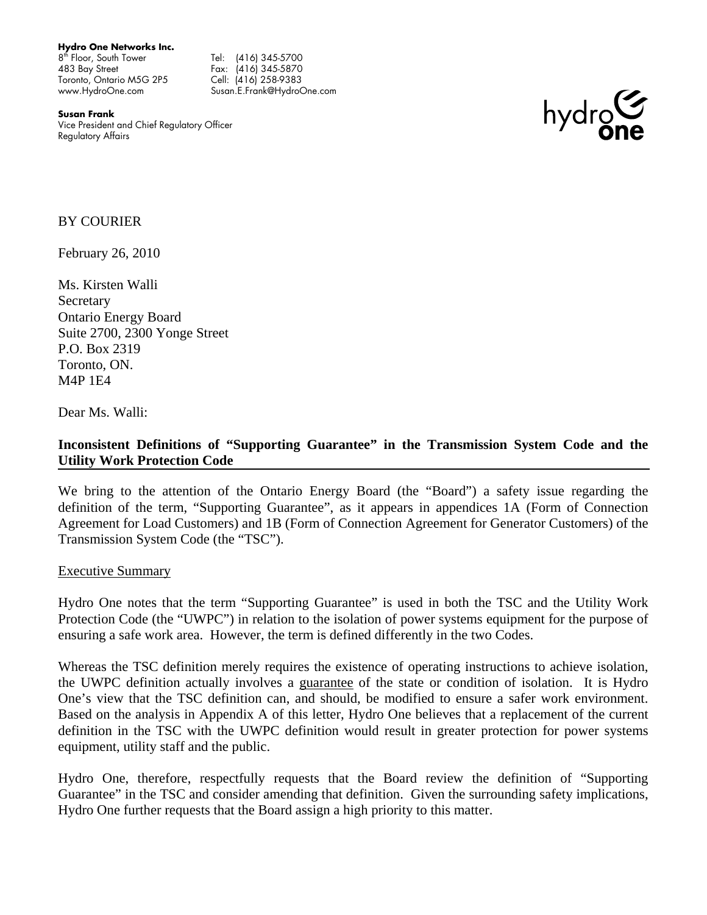**Hydro One Networks Inc.** 

8<sup>th</sup> Floor, South Tower Tel: (416) 345-5700 483 Bay Street Toronto, Ontario M5G 2P5 www.HydroOne.com

Fax: (416) 345-5870 Cell: (416) 258-9383 Susan.E.Frank@HydroOne.com

**Susan Frank**  Vice President and Chief Regulatory Officer Regulatory Affairs



### BY COURIER

February 26, 2010

<span id="page-0-0"></span>Ms. Kirsten Walli **Secretary** Ontario Energy Board Suite 2700, 2300 Yonge Street P.O. Box 2319 Toronto, ON. M4P 1E4

Dear [Ms.](#page-0-0) [Walli:](#page-0-0)

### **Inconsistent Definitions of "Supporting Guarantee" in the Transmission System Code and the Utility Work Protection Code**

We bring to the attention of the Ontario Energy Board (the "Board") a safety issue regarding the definition of the term, "Supporting Guarantee", as it appears in appendices 1A (Form of Connection Agreement for Load Customers) and 1B (Form of Connection Agreement for Generator Customers) of the Transmission System Code (the "TSC").

#### Executive Summary

Hydro One notes that the term "Supporting Guarantee" is used in both the TSC and the Utility Work Protection Code (the "UWPC") in relation to the isolation of power systems equipment for the purpose of ensuring a safe work area. However, the term is defined differently in the two Codes.

Whereas the TSC definition merely requires the existence of operating instructions to achieve isolation, the UWPC definition actually involves a guarantee of the state or condition of isolation. It is Hydro One's view that the TSC definition can, and should, be modified to ensure a safer work environment. Based on the analysis in Appendix A of this letter, Hydro One believes that a replacement of the current definition in the TSC with the UWPC definition would result in greater protection for power systems equipment, utility staff and the public.

Hydro One, therefore, respectfully requests that the Board review the definition of "Supporting Guarantee" in the TSC and consider amending that definition. Given the surrounding safety implications, Hydro One further requests that the Board assign a high priority to this matter.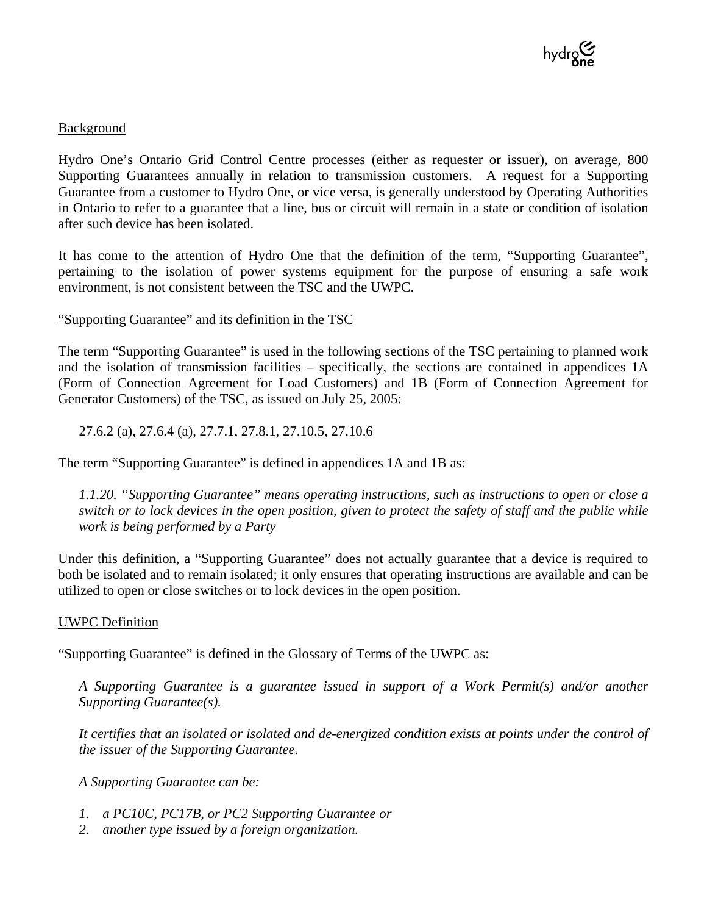

#### Background

Hydro One's Ontario Grid Control Centre processes (either as requester or issuer), on average, 800 Supporting Guarantees annually in relation to transmission customers. A request for a Supporting Guarantee from a customer to Hydro One, or vice versa, is generally understood by Operating Authorities in Ontario to refer to a guarantee that a line, bus or circuit will remain in a state or condition of isolation after such device has been isolated.

It has come to the attention of Hydro One that the definition of the term, "Supporting Guarantee", pertaining to the isolation of power systems equipment for the purpose of ensuring a safe work environment, is not consistent between the TSC and the UWPC.

### "Supporting Guarantee" and its definition in the TSC

The term "Supporting Guarantee" is used in the following sections of the TSC pertaining to planned work and the isolation of transmission facilities – specifically, the sections are contained in appendices 1A (Form of Connection Agreement for Load Customers) and 1B (Form of Connection Agreement for Generator Customers) of the TSC, as issued on July 25, 2005:

27.6.2 (a), 27.6.4 (a), 27.7.1, 27.8.1, 27.10.5, 27.10.6

The term "Supporting Guarantee" is defined in appendices 1A and 1B as:

*1.1.20. "Supporting Guarantee" means operating instructions, such as instructions to open or close a switch or to lock devices in the open position, given to protect the safety of staff and the public while work is being performed by a Party* 

Under this definition, a "Supporting Guarantee" does not actually guarantee that a device is required to both be isolated and to remain isolated; it only ensures that operating instructions are available and can be utilized to open or close switches or to lock devices in the open position.

#### UWPC Definition

"Supporting Guarantee" is defined in the Glossary of Terms of the UWPC as:

*A Supporting Guarantee is a guarantee issued in support of a Work Permit(s) and/or another Supporting Guarantee(s).* 

*It certifies that an isolated or isolated and de-energized condition exists at points under the control of the issuer of the Supporting Guarantee.* 

*A Supporting Guarantee can be:* 

- *1. a PC10C, PC17B, or PC2 Supporting Guarantee or*
- *2. another type issued by a foreign organization.*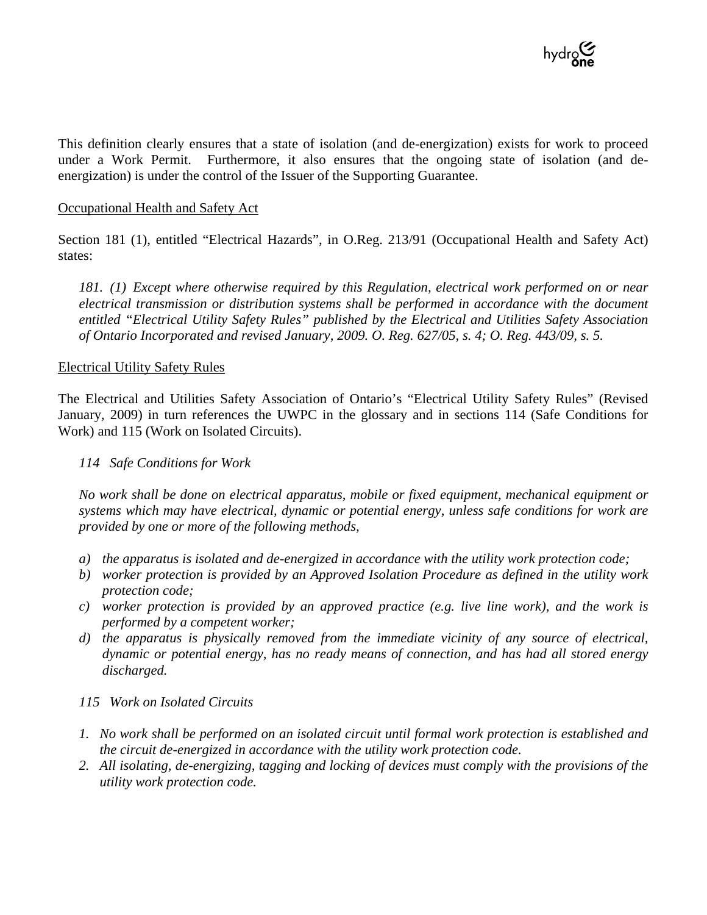

This definition clearly ensures that a state of isolation (and de-energization) exists for work to proceed under a Work Permit. Furthermore, it also ensures that the ongoing state of isolation (and deenergization) is under the control of the Issuer of the Supporting Guarantee.

#### Occupational Health and Safety Act

Section 181 (1), entitled "Electrical Hazards", in O.Reg. 213/91 (Occupational Health and Safety Act) states:

*181. (1) Except where otherwise required by this Regulation, electrical work performed on or near electrical transmission or distribution systems shall be performed in accordance with the document entitled "Electrical Utility Safety Rules" published by the Electrical and Utilities Safety Association of Ontario Incorporated and revised January, 2009. O. Reg. 627/05, s. 4; O. Reg. 443/09, s. 5.* 

#### Electrical Utility Safety Rules

The Electrical and Utilities Safety Association of Ontario's "Electrical Utility Safety Rules" (Revised January, 2009) in turn references the UWPC in the glossary and in sections 114 (Safe Conditions for Work) and 115 (Work on Isolated Circuits).

#### *114 Safe Conditions for Work*

*No work shall be done on electrical apparatus, mobile or fixed equipment, mechanical equipment or systems which may have electrical, dynamic or potential energy, unless safe conditions for work are provided by one or more of the following methods,* 

- *a) the apparatus is isolated and de-energized in accordance with the utility work protection code;*
- *b) worker protection is provided by an Approved Isolation Procedure as defined in the utility work protection code;*
- *c) worker protection is provided by an approved practice (e.g. live line work), and the work is performed by a competent worker;*
- *d) the apparatus is physically removed from the immediate vicinity of any source of electrical, dynamic or potential energy, has no ready means of connection, and has had all stored energy discharged.*
- *115 Work on Isolated Circuits*
- *1. No work shall be performed on an isolated circuit until formal work protection is established and the circuit de-energized in accordance with the utility work protection code.*
- *2. All isolating, de-energizing, tagging and locking of devices must comply with the provisions of the utility work protection code.*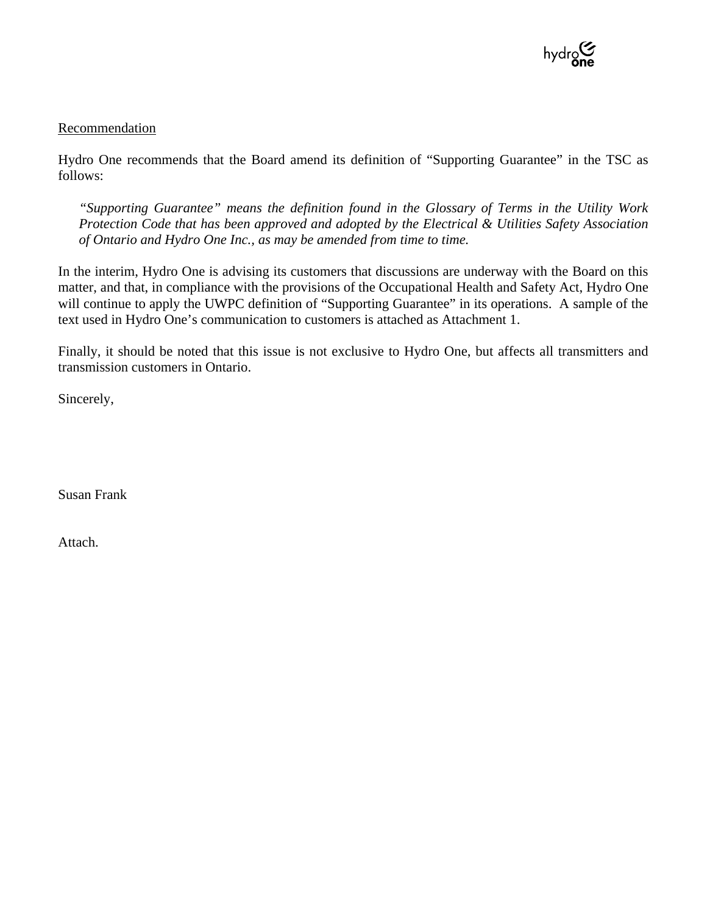

#### Recommendation

Hydro One recommends that the Board amend its definition of "Supporting Guarantee" in the TSC as follows:

*"Supporting Guarantee" means the definition found in the Glossary of Terms in the Utility Work Protection Code that has been approved and adopted by the Electrical & Utilities Safety Association of Ontario and Hydro One Inc., as may be amended from time to time.* 

In the interim, Hydro One is advising its customers that discussions are underway with the Board on this matter, and that, in compliance with the provisions of the Occupational Health and Safety Act, Hydro One will continue to apply the UWPC definition of "Supporting Guarantee" in its operations. A sample of the text used in Hydro One's communication to customers is attached as Attachment 1.

Finally, it should be noted that this issue is not exclusive to Hydro One, but affects all transmitters and transmission customers in Ontario.

Sincerely,

Susan Frank

Attach.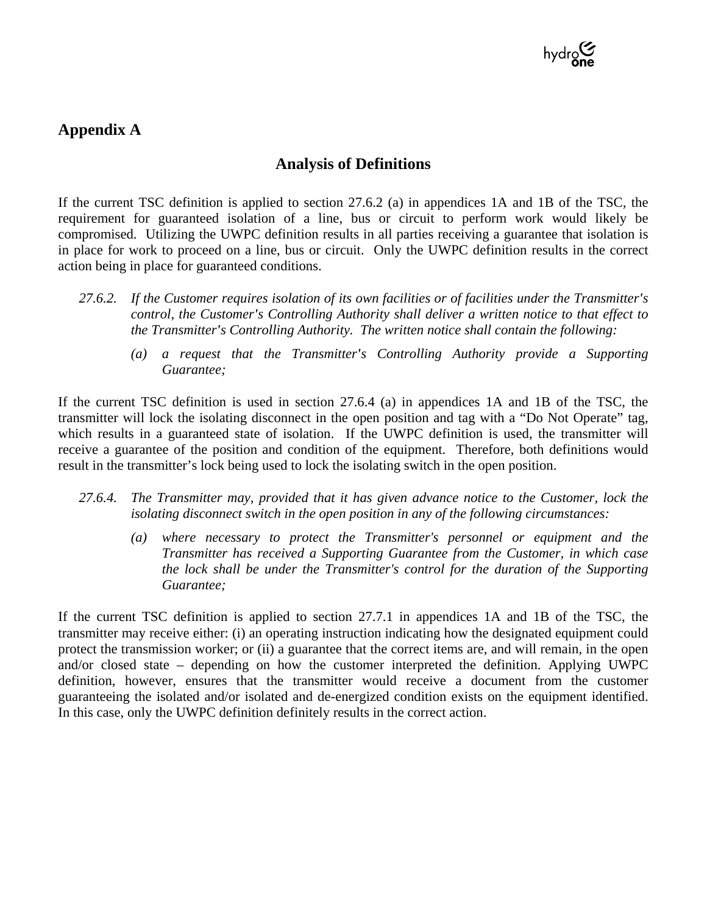

# **Appendix A**

## **Analysis of Definitions**

If the current TSC definition is applied to section 27.6.2 (a) in appendices 1A and 1B of the TSC, the requirement for guaranteed isolation of a line, bus or circuit to perform work would likely be compromised. Utilizing the UWPC definition results in all parties receiving a guarantee that isolation is in place for work to proceed on a line, bus or circuit. Only the UWPC definition results in the correct action being in place for guaranteed conditions.

- *27.6.2. If the Customer requires isolation of its own facilities or of facilities under the Transmitter's control, the Customer's Controlling Authority shall deliver a written notice to that effect to the Transmitter's Controlling Authority. The written notice shall contain the following:* 
	- *(a) a request that the Transmitter's Controlling Authority provide a Supporting Guarantee;*

If the current TSC definition is used in section 27.6.4 (a) in appendices 1A and 1B of the TSC, the transmitter will lock the isolating disconnect in the open position and tag with a "Do Not Operate" tag, which results in a guaranteed state of isolation. If the UWPC definition is used, the transmitter will receive a guarantee of the position and condition of the equipment. Therefore, both definitions would result in the transmitter's lock being used to lock the isolating switch in the open position.

- *27.6.4. The Transmitter may, provided that it has given advance notice to the Customer, lock the isolating disconnect switch in the open position in any of the following circumstances:* 
	- *(a) where necessary to protect the Transmitter's personnel or equipment and the Transmitter has received a Supporting Guarantee from the Customer, in which case the lock shall be under the Transmitter's control for the duration of the Supporting Guarantee;*

If the current TSC definition is applied to section 27.7.1 in appendices 1A and 1B of the TSC, the transmitter may receive either: (i) an operating instruction indicating how the designated equipment could protect the transmission worker; or (ii) a guarantee that the correct items are, and will remain, in the open and/or closed state – depending on how the customer interpreted the definition. Applying UWPC definition, however, ensures that the transmitter would receive a document from the customer guaranteeing the isolated and/or isolated and de-energized condition exists on the equipment identified. In this case, only the UWPC definition definitely results in the correct action.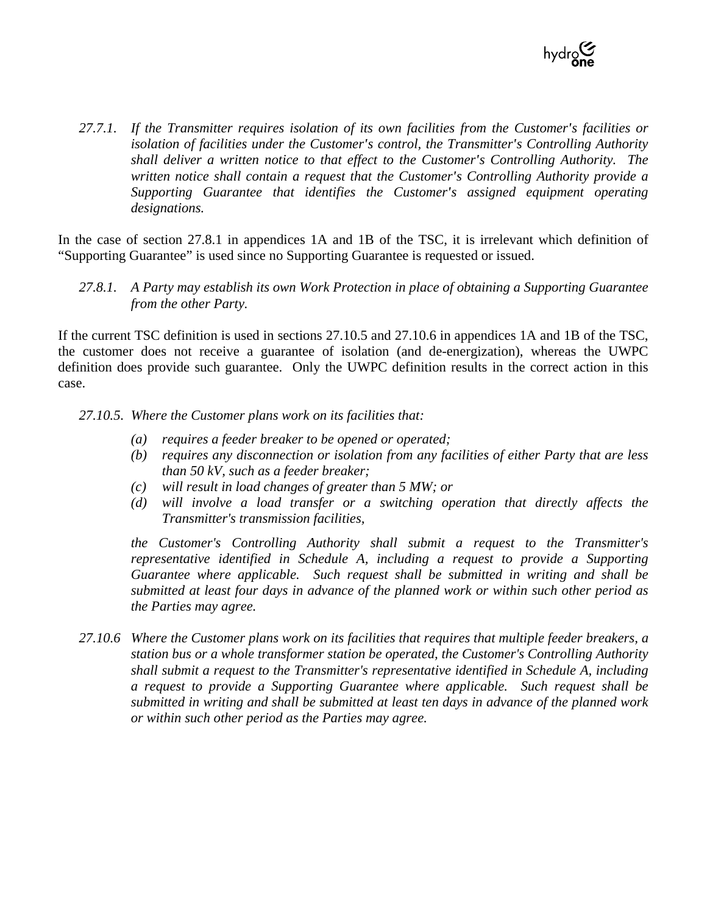

*27.7.1. If the Transmitter requires isolation of its own facilities from the Customer's facilities or isolation of facilities under the Customer's control, the Transmitter's Controlling Authority shall deliver a written notice to that effect to the Customer's Controlling Authority. The written notice shall contain a request that the Customer's Controlling Authority provide a Supporting Guarantee that identifies the Customer's assigned equipment operating designations.* 

In the case of section 27.8.1 in appendices 1A and 1B of the TSC, it is irrelevant which definition of "Supporting Guarantee" is used since no Supporting Guarantee is requested or issued.

*27.8.1. A Party may establish its own Work Protection in place of obtaining a Supporting Guarantee from the other Party.* 

If the current TSC definition is used in sections 27.10.5 and 27.10.6 in appendices 1A and 1B of the TSC, the customer does not receive a guarantee of isolation (and de-energization), whereas the UWPC definition does provide such guarantee. Only the UWPC definition results in the correct action in this case.

27.10.5. Where the Customer plans work on its facilities that:

- *(a) requires a feeder breaker to be opened or operated;*
- *(b) requires any disconnection or isolation from any facilities of either Party that are less than 50 kV, such as a feeder breaker;*
- *(c) will result in load changes of greater than 5 MW; or*
- *(d) will involve a load transfer or a switching operation that directly affects the Transmitter's transmission facilities,*

*the Customer's Controlling Authority shall submit a request to the Transmitter's representative identified in Schedule A, including a request to provide a Supporting Guarantee where applicable. Such request shall be submitted in writing and shall be submitted at least four days in advance of the planned work or within such other period as the Parties may agree.* 

*27.10.6 Where the Customer plans work on its facilities that requires that multiple feeder breakers, a station bus or a whole transformer station be operated, the Customer's Controlling Authority shall submit a request to the Transmitter's representative identified in Schedule A, including a request to provide a Supporting Guarantee where applicable. Such request shall be submitted in writing and shall be submitted at least ten days in advance of the planned work or within such other period as the Parties may agree.*